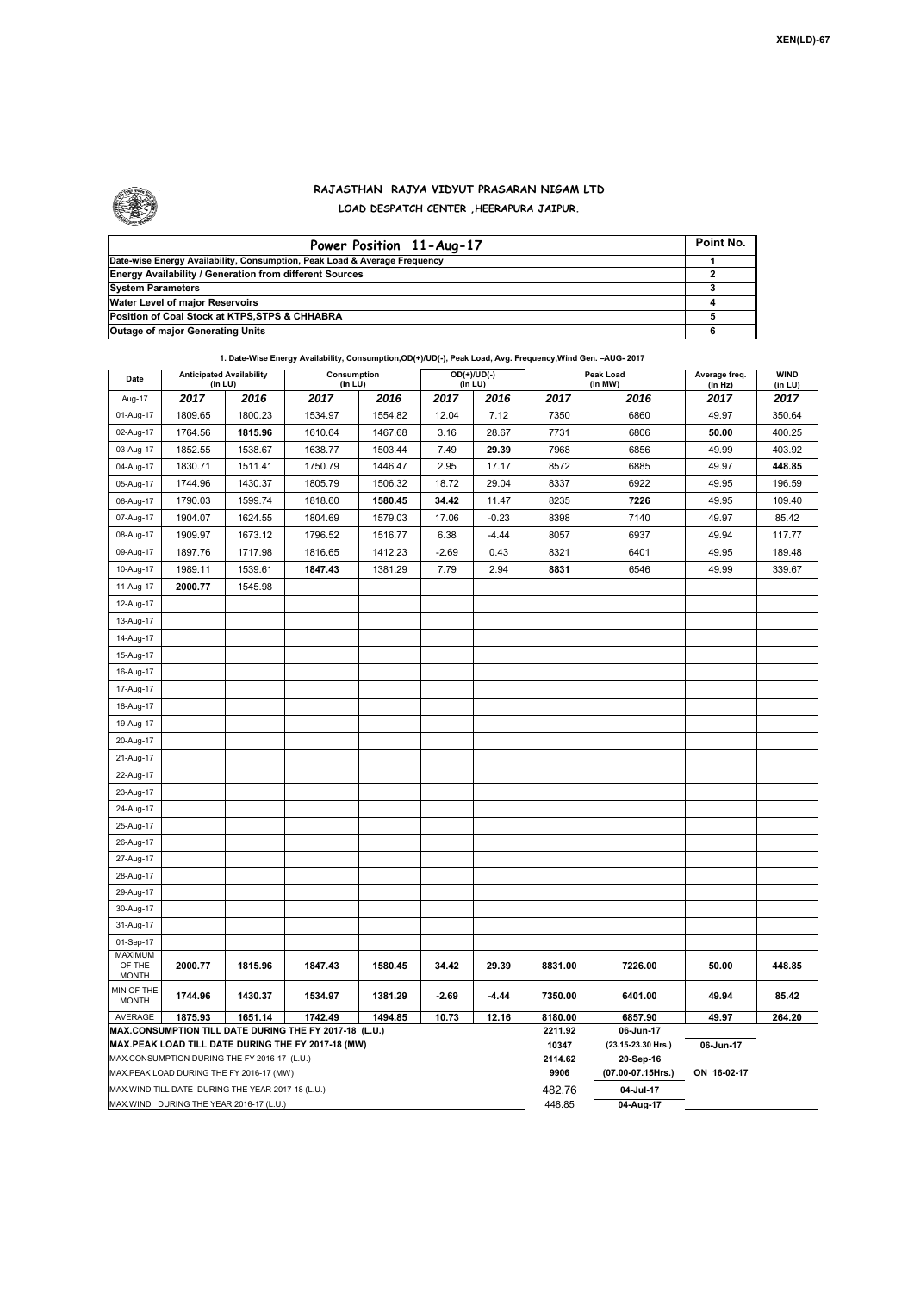

## **RAJASTHAN RAJYA VIDYUT PRASARAN NIGAM LTD LOAD DESPATCH CENTER ,HEERAPURA JAIPUR.**

| Power Position 11-Aug-17                                                  | Point No. |
|---------------------------------------------------------------------------|-----------|
| Date-wise Energy Availability, Consumption, Peak Load & Average Frequency |           |
| <b>Energy Availability / Generation from different Sources</b>            |           |
| <b>System Parameters</b>                                                  |           |
| Water Level of major Reservoirs                                           |           |
| Position of Coal Stock at KTPS, STPS & CHHABRA                            |           |
| <b>Outage of major Generating Units</b>                                   |           |

| 1. Date-Wise Energy Availability, Consumption, OD(+)/UD(-), Peak Load, Avg. Frequency, Wind Gen. - AUG- 2017 |                                                   |         |                        |         |                          |                  |                                 |             |                          |                        |
|--------------------------------------------------------------------------------------------------------------|---------------------------------------------------|---------|------------------------|---------|--------------------------|------------------|---------------------------------|-------------|--------------------------|------------------------|
| Date                                                                                                         | <b>Anticipated Availability</b><br>(In LU)        |         | Consumption<br>(In LU) |         | $OD(+)/UD(-)$<br>(In LU) |                  | Peak Load<br>(In MW)            |             | Average freq.<br>(In Hz) | <b>WIND</b><br>(in LU) |
| Aug-17                                                                                                       | 2017                                              | 2016    | 2017                   | 2016    | 2017                     | 2016             | 2017                            | 2016        | 2017                     | 2017                   |
| 01-Aug-17                                                                                                    | 1809.65                                           | 1800.23 | 1534.97                | 1554.82 | 12.04                    | 7.12             | 7350                            | 6860        | 49.97                    | 350.64                 |
| 02-Aug-17                                                                                                    | 1764.56                                           | 1815.96 | 1610.64                | 1467.68 | 3.16                     | 28.67            | 7731                            | 6806        | 50.00                    | 400.25                 |
| 03-Aug-17                                                                                                    | 1852.55                                           | 1538.67 | 1638.77                | 1503.44 | 7.49                     | 29.39            | 7968                            | 6856        | 49.99                    | 403.92                 |
| 04-Aug-17                                                                                                    | 1830.71                                           | 1511.41 | 1750.79                | 1446.47 | 2.95                     | 17.17            | 8572                            | 6885        | 49.97                    | 448.85                 |
| 05-Aug-17                                                                                                    | 1744.96                                           | 1430.37 | 1805.79                | 1506.32 | 18.72                    | 29.04            | 8337                            | 6922        | 49.95                    | 196.59                 |
| 06-Aug-17                                                                                                    | 1790.03                                           | 1599.74 | 1818.60                | 1580.45 | 34.42                    | 11.47            | 8235                            | 7226        | 49.95                    | 109.40                 |
| 07-Aug-17                                                                                                    | 1904.07                                           | 1624.55 | 1804.69                | 1579.03 | 17.06                    | $-0.23$          | 8398                            | 7140        | 49.97                    | 85.42                  |
| 08-Aug-17                                                                                                    | 1909.97                                           | 1673.12 | 1796.52                | 1516.77 | 6.38                     | $-4.44$          | 8057                            | 6937        | 49.94                    | 117.77                 |
| 09-Aug-17                                                                                                    | 1897.76                                           | 1717.98 | 1816.65                | 1412.23 | $-2.69$                  | 0.43             | 8321                            | 6401        | 49.95                    | 189.48                 |
| 10-Aug-17                                                                                                    | 1989.11                                           | 1539.61 | 1847.43                | 1381.29 | 7.79                     | 2.94             | 8831                            | 6546        | 49.99                    | 339.67                 |
| 11-Aug-17                                                                                                    | 2000.77                                           | 1545.98 |                        |         |                          |                  |                                 |             |                          |                        |
| 12-Aug-17                                                                                                    |                                                   |         |                        |         |                          |                  |                                 |             |                          |                        |
| 13-Aug-17                                                                                                    |                                                   |         |                        |         |                          |                  |                                 |             |                          |                        |
| 14-Aug-17                                                                                                    |                                                   |         |                        |         |                          |                  |                                 |             |                          |                        |
| 15-Aug-17                                                                                                    |                                                   |         |                        |         |                          |                  |                                 |             |                          |                        |
| 16-Aug-17                                                                                                    |                                                   |         |                        |         |                          |                  |                                 |             |                          |                        |
| 17-Aug-17                                                                                                    |                                                   |         |                        |         |                          |                  |                                 |             |                          |                        |
| 18-Aug-17                                                                                                    |                                                   |         |                        |         |                          |                  |                                 |             |                          |                        |
| 19-Aug-17                                                                                                    |                                                   |         |                        |         |                          |                  |                                 |             |                          |                        |
| 20-Aug-17                                                                                                    |                                                   |         |                        |         |                          |                  |                                 |             |                          |                        |
| 21-Aug-17                                                                                                    |                                                   |         |                        |         |                          |                  |                                 |             |                          |                        |
| 22-Aug-17                                                                                                    |                                                   |         |                        |         |                          |                  |                                 |             |                          |                        |
| 23-Aug-17                                                                                                    |                                                   |         |                        |         |                          |                  |                                 |             |                          |                        |
| 24-Aug-17                                                                                                    |                                                   |         |                        |         |                          |                  |                                 |             |                          |                        |
| 25-Aug-17                                                                                                    |                                                   |         |                        |         |                          |                  |                                 |             |                          |                        |
| 26-Aug-17                                                                                                    |                                                   |         |                        |         |                          |                  |                                 |             |                          |                        |
| 27-Aug-17                                                                                                    |                                                   |         |                        |         |                          |                  |                                 |             |                          |                        |
| 28-Aug-17                                                                                                    |                                                   |         |                        |         |                          |                  |                                 |             |                          |                        |
| 29-Aug-17                                                                                                    |                                                   |         |                        |         |                          |                  |                                 |             |                          |                        |
| 30-Aug-17                                                                                                    |                                                   |         |                        |         |                          |                  |                                 |             |                          |                        |
| 31-Aug-17                                                                                                    |                                                   |         |                        |         |                          |                  |                                 |             |                          |                        |
| 01-Sep-17                                                                                                    |                                                   |         |                        |         |                          |                  |                                 |             |                          |                        |
| <b>MAXIMUM</b><br>OF THE                                                                                     | 2000.77                                           | 1815.96 | 1847.43                | 1580.45 | 34.42                    | 29.39            | 8831.00                         | 7226.00     | 50.00                    | 448.85                 |
| <b>MONTH</b>                                                                                                 |                                                   |         |                        |         |                          |                  |                                 |             |                          |                        |
| MIN OF THE<br><b>MONTH</b>                                                                                   | 1744.96                                           | 1430.37 | 1534.97                | 1381.29 | $-2.69$                  | $-4.44$          | 7350.00                         | 6401.00     | 49.94                    | 85.42                  |
| AVERAGE                                                                                                      | 1875.93                                           | 1651.14 | 1742.49                | 1494.85 | 10.73                    | 12.16            | 8180.00                         | 6857.90     | 49.97                    | 264.20                 |
| MAX.CONSUMPTION TILL DATE DURING THE FY 2017-18 (L.U.)<br>MAX.PEAK LOAD TILL DATE DURING THE FY 2017-18 (MW) |                                                   |         |                        |         |                          | 2211.92<br>10347 | 06-Jun-17<br>(23.15-23.30 Hrs.) | 06-Jun-17   |                          |                        |
|                                                                                                              |                                                   |         |                        |         |                          |                  | 2114.62                         | 20-Sep-16   |                          |                        |
| MAX.CONSUMPTION DURING THE FY 2016-17 (L.U.)<br>MAX.PEAK LOAD DURING THE FY 2016-17 (MW)                     |                                                   |         |                        |         |                          | 9906             | (07.00-07.15Hrs.)               | ON 16-02-17 |                          |                        |
|                                                                                                              | MAX.WIND TILL DATE DURING THE YEAR 2017-18 (L.U.) |         |                        |         |                          |                  | 482.76                          | 04-Jul-17   |                          |                        |
|                                                                                                              | MAX.WIND DURING THE YEAR 2016-17 (L.U.)           |         |                        |         |                          |                  | 448.85                          | 04-Aug-17   |                          |                        |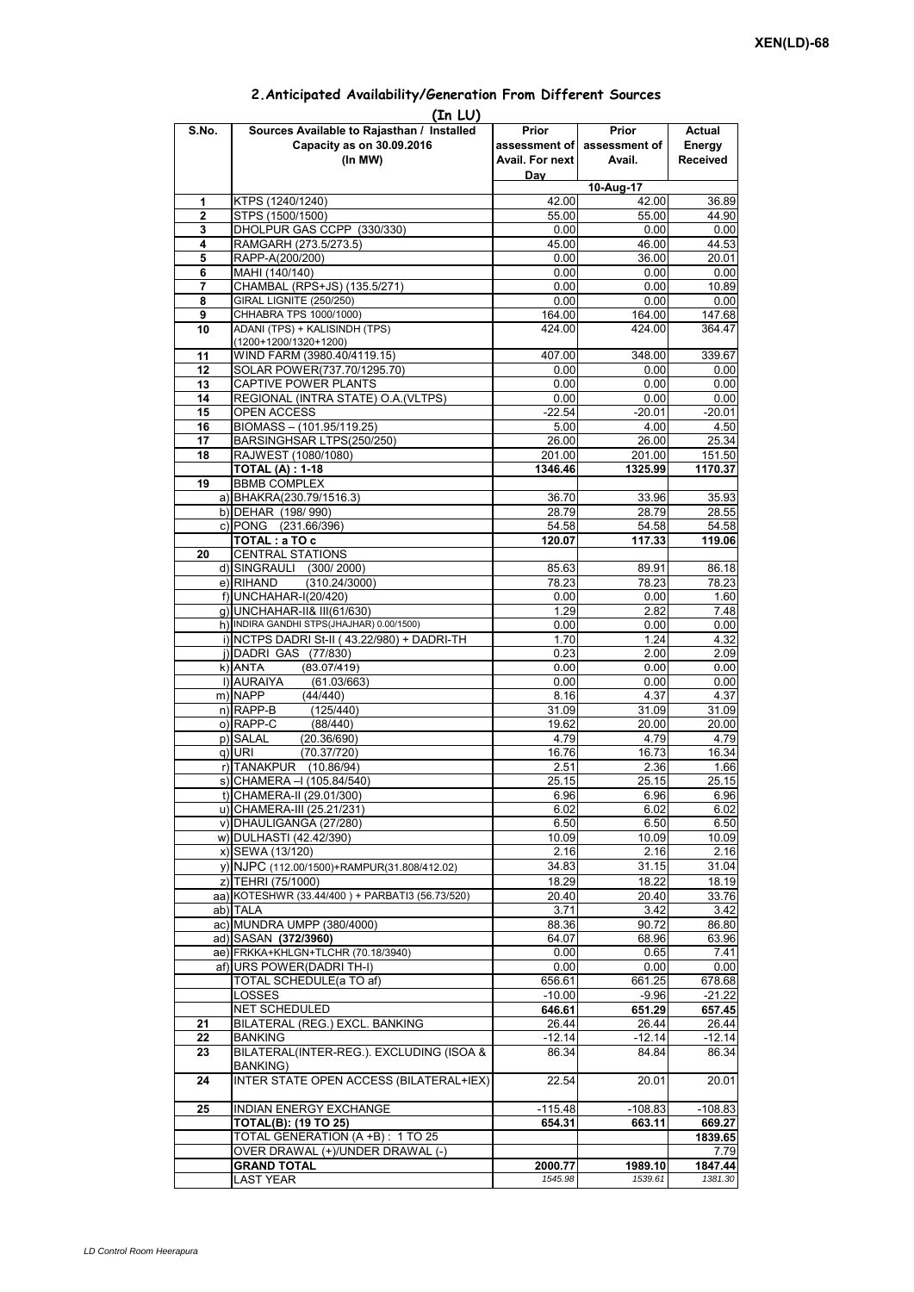| (In LU) |                                                 |                    |                             |                 |  |  |  |  |
|---------|-------------------------------------------------|--------------------|-----------------------------|-----------------|--|--|--|--|
| S.No.   | Sources Available to Rajasthan / Installed      | Prior              | Prior                       | Actual          |  |  |  |  |
|         | Capacity as on 30.09.2016                       |                    | assessment of assessment of | Energy          |  |  |  |  |
|         | (In MW)                                         | Avail. For next    | Avail.                      | <b>Received</b> |  |  |  |  |
|         |                                                 | Day                |                             |                 |  |  |  |  |
|         |                                                 | $10-Aug-17$        |                             |                 |  |  |  |  |
| 1       | KTPS (1240/1240)                                | 42.00              | 42.00                       | 36.89           |  |  |  |  |
| 2       | STPS (1500/1500)                                | 55.00              | 55.00                       | 44.90           |  |  |  |  |
| 3       | DHOLPUR GAS CCPP (330/330)                      | 0.00               | 0.00                        | 0.00            |  |  |  |  |
| 4       | RAMGARH (273.5/273.5)                           | 45.00              | 46.00                       | 44.53           |  |  |  |  |
| 5       | RAPP-A(200/200)                                 | 0.00               | 36.00                       | 20.01           |  |  |  |  |
| 6       | MAHI (140/140)                                  | 0.00               | 0.00                        | 0.00            |  |  |  |  |
| 7       | CHAMBAL (RPS+JS) (135.5/271)                    | 0.00               | 0.00                        | 10.89           |  |  |  |  |
| 8       | GIRAL LIGNITE (250/250)                         | 0.00               | 0.00                        | 0.00            |  |  |  |  |
| 9       | CHHABRA TPS 1000/1000)                          | 164.00             | 164.00                      | 147.68          |  |  |  |  |
| 10      | ADANI (TPS) + KALISINDH (TPS)                   | 424.00             | 424.00                      | 364.47          |  |  |  |  |
|         | $(1200+1200/1320+1200)$                         |                    |                             |                 |  |  |  |  |
| 11      | WIND FARM (3980.40/4119.15)                     | 407.00             | 348.00                      | 339.67          |  |  |  |  |
| 12      | SOLAR POWER(737.70/1295.70)                     | 0.00               | 0.00                        | 0.00            |  |  |  |  |
| 13      | CAPTIVE POWER PLANTS                            | 0.00               | 0.00                        | 0.00            |  |  |  |  |
| 14      | REGIONAL (INTRA STATE) O.A. (VLTPS)             | 0.00               | 0.00                        | 0.00            |  |  |  |  |
| 15      | OPEN ACCESS                                     | $-22.54$           | $-20.01$                    | $-20.01$        |  |  |  |  |
| 16      | BIOMASS - (101.95/119.25)                       | 5.00               | 4.00                        | 4.50            |  |  |  |  |
| 17      | BARSINGHSAR LTPS(250/250)                       | 26.00              | 26.00                       | 25.34           |  |  |  |  |
| 18      | RAJWEST (1080/1080)                             | 201.00             | 201.00                      | 151.50          |  |  |  |  |
|         | <b>TOTAL (A): 1-18</b>                          | 1346.46            | 1325.99                     | 1170.37         |  |  |  |  |
| 19      | <b>BBMB COMPLEX</b>                             |                    |                             |                 |  |  |  |  |
|         |                                                 |                    |                             |                 |  |  |  |  |
|         | a) BHAKRA(230.79/1516.3)                        | 36.70              | 33.96                       | 35.93           |  |  |  |  |
|         | b) DEHAR (198/990)                              | 28.79              | 28.79                       | 28.55           |  |  |  |  |
|         | c) PONG (231.66/396)                            | 54.58              | 54.58                       | 54.58           |  |  |  |  |
|         | TOTAL: a TO c                                   | 120.07             | 117.33                      | 119.06          |  |  |  |  |
| 20      | <b>CENTRAL STATIONS</b>                         |                    |                             |                 |  |  |  |  |
|         | d) SINGRAULI (300/2000)                         | 85.63              | 89.91                       | 86.18           |  |  |  |  |
|         | (310.24/3000)<br>e) RIHAND                      | 78.23              | 78.23                       | 78.23           |  |  |  |  |
|         | f) UNCHAHAR-I(20/420)                           | 0.00               | 0.00                        | 1.60            |  |  |  |  |
|         | g) UNCHAHAR-II& III(61/630)                     | 1.29               | 2.82                        | 7.48            |  |  |  |  |
|         | h) INDIRA GANDHI STPS(JHAJHAR) 0.00/1500)       | 0.00               | 0.00                        | 0.00            |  |  |  |  |
|         | i) NCTPS DADRI St-II (43.22/980) + DADRI-TH     | 1.70               | 1.24                        | 4.32            |  |  |  |  |
|         | j) DADRI GAS (77/830)                           | 0.23               | 2.00                        | 2.09            |  |  |  |  |
|         | $k)$ ANTA<br>(83.07/419)                        | 0.00               | 0.00                        | 0.00            |  |  |  |  |
|         | I) AURAIYA<br>(61.03/663)                       | 0.00               | 0.00                        | 0.00            |  |  |  |  |
|         | m) NAPP<br>(44/440)                             | 8.16               | 4.37                        | 4.37            |  |  |  |  |
|         | $n)$ RAPP-B<br>(125/440)                        | 31.09              | 31.09                       | 31.09           |  |  |  |  |
|         | o) RAPP-C<br>(88/440)                           | 19.62              | 20.00                       | 20.00           |  |  |  |  |
|         | p) SALAL<br>(20.36/690)                         | 4.79               | 4.79                        | 4.79            |  |  |  |  |
|         | q) URI<br>(70.37/720)                           | 16.76              | 16.73                       | 16.34           |  |  |  |  |
|         | r) TANAKPUR (10.86/94)                          | 2.51               | 2.36                        | 1.66            |  |  |  |  |
|         | s) CHAMERA - (105.84/540)                       | $25.\overline{15}$ | $25.\overline{15}$          | 25.15           |  |  |  |  |
|         | t) CHAMERA-II (29.01/300)                       | 6.96               | 6.96                        | 6.96            |  |  |  |  |
|         | u) CHAMERA-III (25.21/231)                      | 6.02               | 6.02                        | 6.02            |  |  |  |  |
|         | v) DHAULIGANGA (27/280)                         | 6.50               | 6.50                        | 6.50            |  |  |  |  |
|         | w) DULHASTI (42.42/390)                         | 10.09              | 10.09                       | 10.09           |  |  |  |  |
|         | x) SEWA (13/120)                                | 2.16               | 2.16                        | 2.16            |  |  |  |  |
|         | y) NJPC (112.00/1500) + RAMPUR(31.808/412.02)   | 34.83              | 31.15                       | 31.04           |  |  |  |  |
|         | z) TEHRI (75/1000)                              | 18.29              | 18.22                       | 18.19           |  |  |  |  |
|         | aa) KOTESHWR (33.44/400) + PARBATI3 (56.73/520) |                    |                             |                 |  |  |  |  |
|         |                                                 | 20.40              | 20.40<br>3.42               | 33.76           |  |  |  |  |
|         | ab) TALA                                        | 3.71               |                             | 3.42            |  |  |  |  |
|         | ac) MUNDRA UMPP (380/4000)                      | 88.36              | 90.72                       | 86.80           |  |  |  |  |
|         | ad) SASAN (372/3960)                            | 64.07              | 68.96                       | 63.96           |  |  |  |  |
|         | ae) FRKKA+KHLGN+TLCHR (70.18/3940)              | 0.00               | 0.65                        | 7.41            |  |  |  |  |
|         | af) URS POWER(DADRI TH-I)                       | 0.00               | 0.00                        | 0.00            |  |  |  |  |
|         | TOTAL SCHEDULE(a TO af)                         | 656.61             | 661.25                      | 678.68          |  |  |  |  |
|         | LOSSES                                          | $-10.00$           | $-9.96$                     | $-21.22$        |  |  |  |  |
|         | NET SCHEDULED                                   | 646.61             | 651.29                      | 657.45          |  |  |  |  |
| 21      | BILATERAL (REG.) EXCL. BANKING                  | 26.44              | 26.44                       | 26.44           |  |  |  |  |
| 22      | <b>BANKING</b>                                  | -12.14             | -12.14                      | -12.14          |  |  |  |  |
| 23      | BILATERAL(INTER-REG.). EXCLUDING (ISOA &        | 86.34              | 84.84                       | 86.34           |  |  |  |  |
|         | BANKING)                                        |                    |                             |                 |  |  |  |  |
| 24      | INTER STATE OPEN ACCESS (BILATERAL+IEX)         | 22.54              | 20.01                       | 20.01           |  |  |  |  |
|         |                                                 |                    |                             |                 |  |  |  |  |
| 25      | INDIAN ENERGY EXCHANGE                          | $-115.48$          | $-108.83$                   | $-108.83$       |  |  |  |  |
|         | <b>TOTAL(B): (19 TO 25)</b>                     | 654.31             | 663.11                      | 669.27          |  |  |  |  |
|         | TOTAL GENERATION (A +B) : 1 TO 25               |                    |                             | 1839.65         |  |  |  |  |
|         | OVER DRAWAL (+)/UNDER DRAWAL (-)                |                    |                             | 7.79            |  |  |  |  |
|         | <b>GRAND TOTAL</b>                              | 2000.77            | 1989.10                     | 1847.44         |  |  |  |  |
|         | <b>LAST YEAR</b>                                | 1545.98            | 1539.61                     | 1381.30         |  |  |  |  |

## **2.Anticipated Availability/Generation From Different Sources**